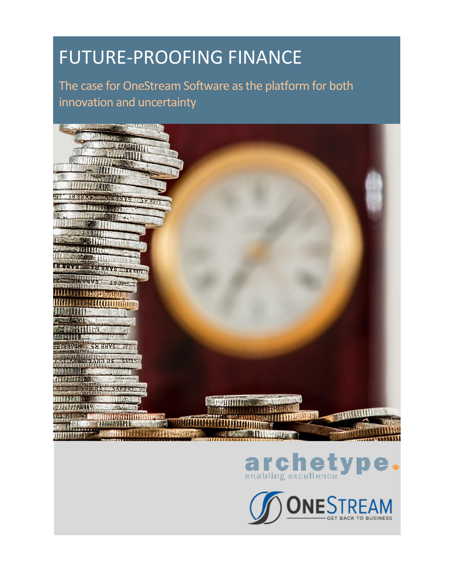# FUTURE-PROOFING FINANCE

The case for OneStream Software as the platform for both innovation and uncertainty





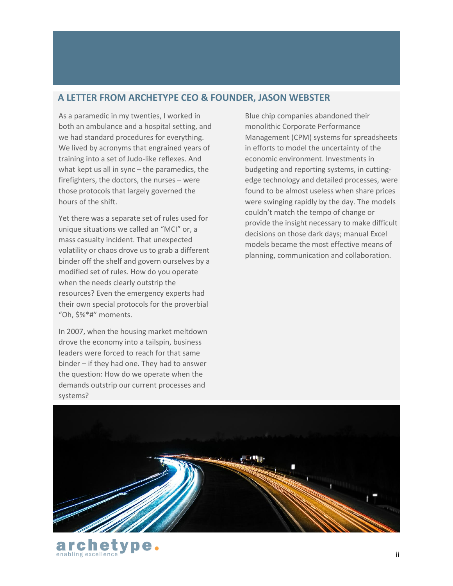## **A LETTER FROM ARCHETYPE CEO & FOUNDER, JASON WEBSTER**

As a paramedic in my twenties, I worked in both an ambulance and a hospital setting, and we had standard procedures for everything. We lived by acronyms that engrained years of training into a set of Judo-like reflexes. And what kept us all in sync – the paramedics, the firefighters, the doctors, the nurses – were those protocols that largely governed the hours of the shift.

Yet there was a separate set of rules used for unique situations we called an "MCI" or, a mass casualty incident. That unexpected volatility or chaos drove us to grab a different binder off the shelf and govern ourselves by a modified set of rules. How do you operate when the needs clearly outstrip the resources? Even the emergency experts had their own special protocols for the proverbial "Oh, \$%\*#" moments.

In 2007, when the housing market meltdown drove the economy into a tailspin, business leaders were forced to reach for that same binder – if they had one. They had to answer the question: How do we operate when the demands outstrip our current processes and systems?

cnet enabling excellence

Blue chip companies abandoned their monolithic Corporate Performance Management (CPM) systems for spreadsheets in efforts to model the uncertainty of the economic environment. Investments in budgeting and reporting systems, in cuttingedge technology and detailed processes, were found to be almost useless when share prices were swinging rapidly by the day. The models couldn't match the tempo of change or provide the insight necessary to make difficult decisions on those dark days; manual Excel models became the most effective means of planning, communication and collaboration.

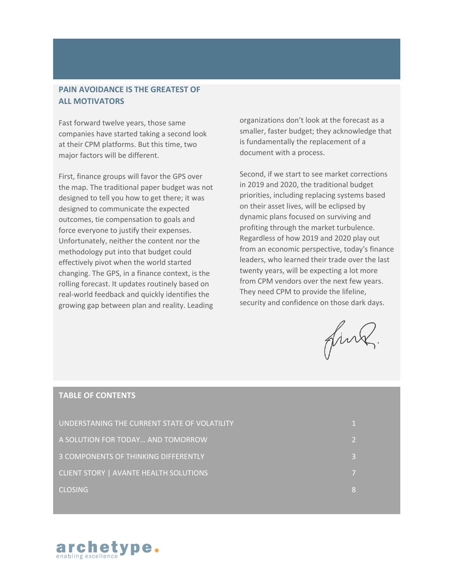#### **PAIN AVOIDANCE IS THE GREATEST OF ALL MOTIVATORS**

Fast forward twelve years, those same companies have started taking a second look at their CPM platforms. But this time, two major factors will be different.

First, finance groups will favor the GPS over the map. The traditional paper budget was not designed to tell you how to get there; it was designed to communicate the expected outcomes, tie compensation to goals and force everyone to justify their expenses. Unfortunately, neither the content nor the methodology put into that budget could effectively pivot when the world started changing. The GPS, in a finance context, is the rolling forecast. It updates routinely based on real-world feedback and quickly identifies the growing gap between plan and reality. Leading organizations don't look at the forecast as a smaller, faster budget; they acknowledge that is fundamentally the replacement of a document with a process.

Second, if we start to see market corrections in 2019 and 2020, the traditional budget priorities, including replacing systems based on their asset lives, will be eclipsed by dynamic plans focused on surviving and profiting through the market turbulence. Regardless of how 2019 and 2020 play out from an economic perspective, today's finance leaders, who learned their trade over the last twenty years, will be expecting a lot more from CPM vendors over the next few years. They need CPM to provide the lifeline, security and confidence on those dark days.

fink.

#### **TABLE OF CONTENTS**

| UNDERSTANING THE CURRENT STATE OF VOLATILITY |   |
|----------------------------------------------|---|
| A SOLUTION FOR TODAY AND TOMORROW            |   |
| 3 COMPONENTS OF THINKING DIFFERENTLY         |   |
| CLIENT STORY   AVANTE HEALTH SOLUTIONS       |   |
| <b>CLOSING</b>                               | 8 |

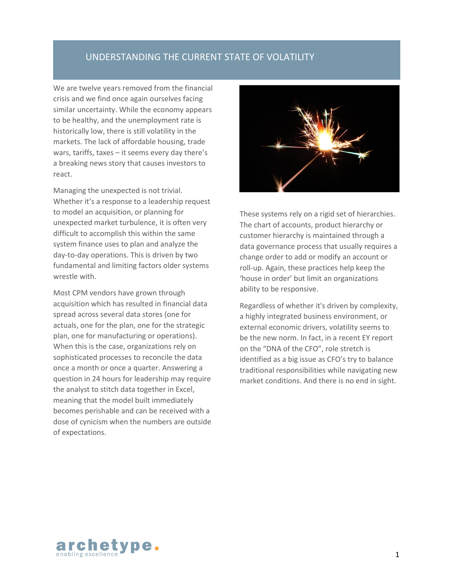## UNDERSTANDING THE CURRENT STATE OF VOLATILITY

We are twelve years removed from the financial crisis and we find once again ourselves facing similar uncertainty. While the economy appears to be healthy, and the unemployment rate is historically low, there is still volatility in the markets. The lack of affordable housing, trade wars, tariffs, taxes – it seems every day there's a breaking news story that causes investors to react.

Managing the unexpected is not trivial. Whether it's a response to a leadership request to model an acquisition, or planning for unexpected market turbulence, it is often very difficult to accomplish this within the same system finance uses to plan and analyze the day-to-day operations. This is driven by two fundamental and limiting factors older systems wrestle with.

Most CPM vendors have grown through acquisition which has resulted in financial data spread across several data stores (one for actuals, one for the plan, one for the strategic plan, one for manufacturing or operations). When this is the case, organizations rely on sophisticated processes to reconcile the data once a month or once a quarter. Answering a question in 24 hours for leadership may require the analyst to stitch data together in Excel, meaning that the model built immediately becomes perishable and can be received with a dose of cynicism when the numbers are outside of expectations.



These systems rely on a rigid set of hierarchies. The chart of accounts, product hierarchy or customer hierarchy is maintained through a data governance process that usually requires a change order to add or modify an account or roll-up. Again, these practices help keep the 'house in order' but limit an organizations ability to be responsive.

Regardless of whether it's driven by complexity, a highly integrated business environment, or external economic drivers, volatility seems to be the new norm. In fact, in a recent EY report on the "DNA of the CFO", role stretch is identified as a big issue as CFO's try to balance traditional responsibilities while navigating new market conditions. And there is no end in sight.

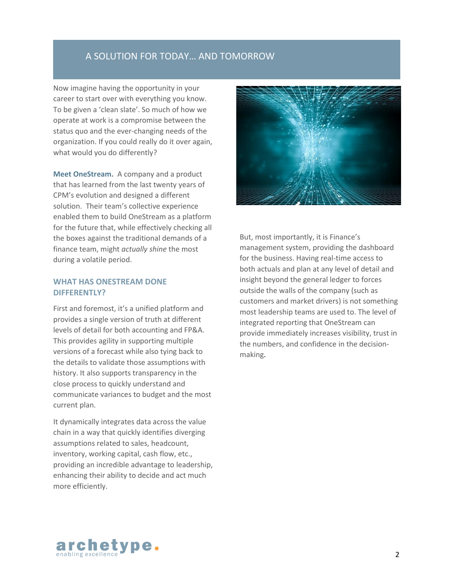## A SOLUTION FOR TODAY… AND TOMORROW

Now imagine having the opportunity in your career to start over with everything you know. To be given a 'clean slate'. So much of how we operate at work is a compromise between the status quo and the ever-changing needs of the organization. If you could really do it over again, what would you do differently?

**Meet OneStream.** A company and a product that has learned from the last twenty years of CPM's evolution and designed a different solution. Their team's collective experience enabled them to build OneStream as a platform for the future that, while effectively checking all the boxes against the traditional demands of a finance team, might *actually shine* the most during a volatile period.

#### **WHAT HAS ONESTREAM DONE DIFFERENTLY?**

First and foremost, it's a unified platform and provides a single version of truth at different levels of detail for both accounting and FP&A. This provides agility in supporting multiple versions of a forecast while also tying back to the details to validate those assumptions with history. It also supports transparency in the close process to quickly understand and communicate variances to budget and the most current plan.

It dynamically integrates data across the value chain in a way that quickly identifies diverging assumptions related to sales, headcount, inventory, working capital, cash flow, etc., providing an incredible advantage to leadership, enhancing their ability to decide and act much more efficiently.



But, most importantly, it is Finance's management system, providing the dashboard for the business. Having real-time access to both actuals and plan at any level of detail and insight beyond the general ledger to forces outside the walls of the company (such as customers and market drivers) is not something most leadership teams are used to. The level of integrated reporting that OneStream can provide immediately increases visibility, trust in the numbers, and confidence in the decisionmaking.

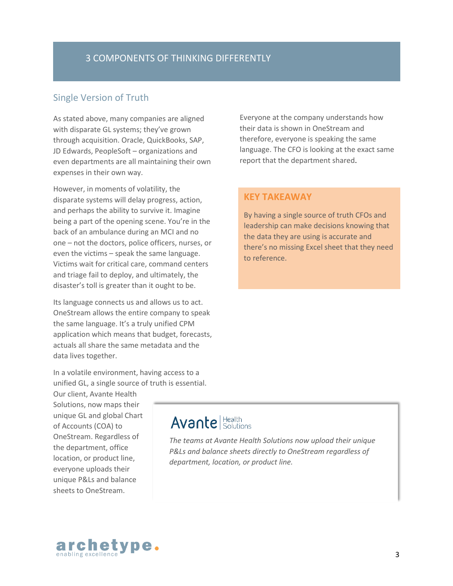## Single Version of Truth

As stated above, many companies are aligned with disparate GL systems; they've grown through acquisition. Oracle, QuickBooks, SAP, JD Edwards, PeopleSoft – organizations and even departments are all maintaining their own expenses in their own way.

However, in moments of volatility, the disparate systems will delay progress, action, and perhaps the ability to survive it. Imagine being a part of the opening scene. You're in the back of an ambulance during an MCI and no one – not the doctors, police officers, nurses, or even the victims – speak the same language. Victims wait for critical care, command centers and triage fail to deploy, and ultimately, the disaster's toll is greater than it ought to be.

Its language connects us and allows us to act. OneStream allows the entire company to speak the same language. It's a truly unified CPM application which means that budget, forecasts, actuals all share the same metadata and the data lives together.

In a volatile environment, having access to a unified GL, a single source of truth is essential.

Our client, Avante Health Solutions, now maps their unique GL and global Chart of Accounts (COA) to OneStream. Regardless of the department, office location, or product line, everyone uploads their unique P&Ls and balance sheets to OneStream.

Everyone at the company understands how their data is shown in OneStream and therefore, everyone is speaking the same language. The CFO is looking at the exact same report that the department shared.

#### **KEY TAKEAWAY**

By having a single source of truth CFOs and leadership can make decisions knowing that the data they are using is accurate and there's no missing Excel sheet that they need to reference.

## **Avante** Health

*The teams at Avante Health Solutions now upload their unique P&Ls and balance sheets directly to OneStream regardless of department, location, or product line.*

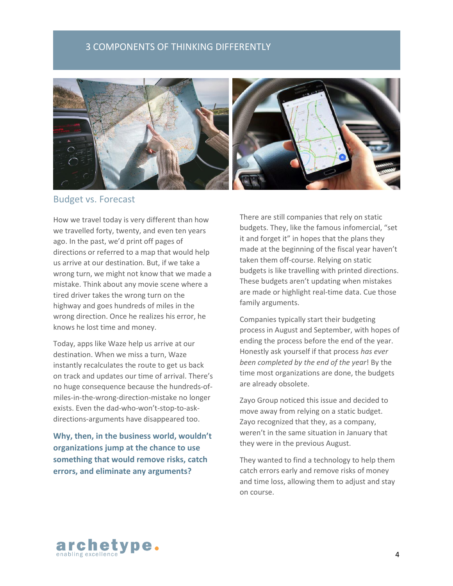#### 3 COMPONENTS OF THINKING DIFFERENTLY



## Budget vs. Forecast

How we travel today is very different than how we travelled forty, twenty, and even ten years ago. In the past, we'd print off pages of directions or referred to a map that would help us arrive at our destination. But, if we take a wrong turn, we might not know that we made a mistake. Think about any movie scene where a tired driver takes the wrong turn on the highway and goes hundreds of miles in the wrong direction. Once he realizes his error, he knows he lost time and money.

Today, apps like Waze help us arrive at our destination. When we miss a turn, Waze instantly recalculates the route to get us back on track and updates our time of arrival. There's no huge consequence because the hundreds-ofmiles-in-the-wrong-direction-mistake no longer exists. Even the dad-who-won't-stop-to-askdirections-arguments have disappeared too.

**Why, then, in the business world, wouldn't organizations jump at the chance to use something that would remove risks, catch errors, and eliminate any arguments?** 

There are still companies that rely on static budgets. They, like the famous infomercial, "set it and forget it" in hopes that the plans they made at the beginning of the fiscal year haven't taken them off-course. Relying on static budgets is like travelling with printed directions. These budgets aren't updating when mistakes are made or highlight real-time data. Cue those family arguments.

Companies typically start their budgeting process in August and September, with hopes of ending the process before the end of the year. Honestly ask yourself if that process *has ever been completed by the end of the year*! By the time most organizations are done, the budgets are already obsolete.

Zayo Group noticed this issue and decided to move away from relying on a static budget. Zayo recognized that they, as a company, weren't in the same situation in January that they were in the previous August.

They wanted to find a technology to help them catch errors early and remove risks of money and time loss, allowing them to adjust and stay on course.

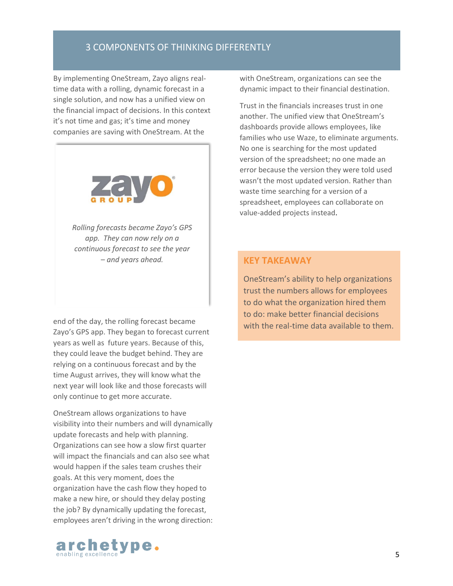#### 3 COMPONENTS OF THINKING DIFFERENTLY

By implementing OneStream, Zayo aligns realtime data with a rolling, dynamic forecast in a single solution, and now has a unified view on the financial impact of decisions. In this context it's not time and gas; it's time and money companies are saving with OneStream. At the



*Rolling forecasts became Zayo's GPS app. They can now rely on a continuous forecast to see the year – and years ahead.*

end of the day, the rolling forecast became Zayo's GPS app. They began to forecast current years as well as future years. Because of this, they could leave the budget behind. They are relying on a continuous forecast and by the time August arrives, they will know what the next year will look like and those forecasts will only continue to get more accurate.

OneStream allows organizations to have visibility into their numbers and will dynamically update forecasts and help with planning. Organizations can see how a slow first quarter will impact the financials and can also see what would happen if the sales team crushes their goals. At this very moment, does the organization have the cash flow they hoped to make a new hire, or should they delay posting the job? By dynamically updating the forecast, employees aren't driving in the wrong direction:



Trust in the financials increases trust in one another. The unified view that OneStream's dashboards provide allows employees, like families who use Waze, to eliminate arguments. No one is searching for the most updated version of the spreadsheet; no one made an error because the version they were told used wasn't the most updated version. Rather than waste time searching for a version of a spreadsheet, employees can collaborate on value-added projects instead.

#### **KEY TAKEAWAY**

OneStream's ability to help organizations trust the numbers allows for employees to do what the organization hired them to do: make better financial decisions with the real-time data available to them.

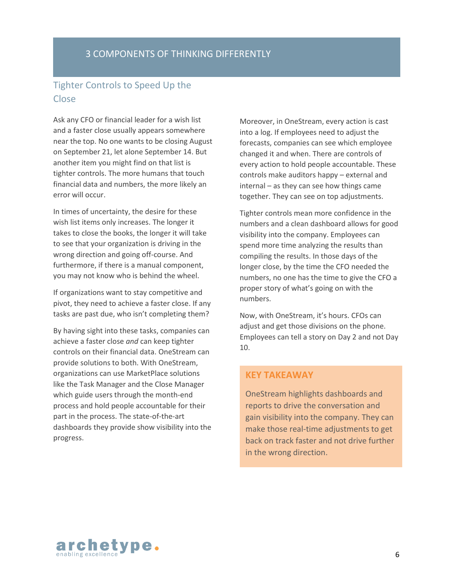## 3 COMPONENTS OF THINKING DIFFERENTLY

## Tighter Controls to Speed Up the Close

Ask any CFO or financial leader for a wish list and a faster close usually appears somewhere near the top. No one wants to be closing August on September 21, let alone September 14. But another item you might find on that list is tighter controls. The more humans that touch financial data and numbers, the more likely an error will occur.

In times of uncertainty, the desire for these wish list items only increases. The longer it takes to close the books, the longer it will take to see that your organization is driving in the wrong direction and going off-course. And furthermore, if there is a manual component, you may not know who is behind the wheel.

If organizations want to stay competitive and pivot, they need to achieve a faster close. If any tasks are past due, who isn't completing them?

By having sight into these tasks, companies can achieve a faster close *and* can keep tighter controls on their financial data. OneStream can provide solutions to both. With OneStream, organizations can use MarketPlace solutions like the Task Manager and the Close Manager which guide users through the month-end process and hold people accountable for their part in the process. The state-of-the-art dashboards they provide show visibility into the progress.

Moreover, in OneStream, every action is cast into a log. If employees need to adjust the forecasts, companies can see which employee changed it and when. There are controls of every action to hold people accountable. These controls make auditors happy – external and internal – as they can see how things came together. They can see on top adjustments.

Tighter controls mean more confidence in the numbers and a clean dashboard allows for good visibility into the company. Employees can spend more time analyzing the results than compiling the results. In those days of the longer close, by the time the CFO needed the numbers, no one has the time to give the CFO a proper story of what's going on with the numbers.

Now, with OneStream, it's hours. CFOs can adjust and get those divisions on the phone. Employees can tell a story on Day 2 and not Day 10.

#### **KEY TAKEAWAY**

OneStream highlights dashboards and reports to drive the conversation and gain visibility into the company. They can make those real-time adjustments to get back on track faster and not drive further in the wrong direction.

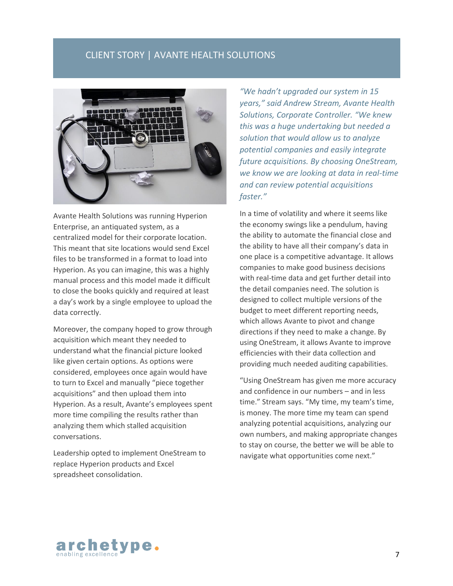## CLIENT STORY | AVANTE HEALTH SOLUTIONS



Avante Health Solutions was running Hyperion Enterprise, an antiquated system, as a centralized model for their corporate location. This meant that site locations would send Excel files to be transformed in a format to load into Hyperion. As you can imagine, this was a highly manual process and this model made it difficult to close the books quickly and required at least a day's work by a single employee to upload the data correctly.

Moreover, the company hoped to grow through acquisition which meant they needed to understand what the financial picture looked like given certain options. As options were considered, employees once again would have to turn to Excel and manually "piece together acquisitions" and then upload them into Hyperion. As a result, Avante's employees spent more time compiling the results rather than analyzing them which stalled acquisition conversations.

Leadership opted to implement OneStream to replace Hyperion products and Excel spreadsheet consolidation.

*"We hadn't upgraded our system in 15 years," said Andrew Stream, Avante Health Solutions, Corporate Controller. "We knew this was a huge undertaking but needed a solution that would allow us to analyze potential companies and easily integrate future acquisitions. By choosing OneStream, we know we are looking at data in real-time and can review potential acquisitions faster."*

In a time of volatility and where it seems like the economy swings like a pendulum, having the ability to automate the financial close and the ability to have all their company's data in one place is a competitive advantage. It allows companies to make good business decisions with real-time data and get further detail into the detail companies need. The solution is designed to collect multiple versions of the budget to meet different reporting needs, which allows Avante to pivot and change directions if they need to make a change. By using OneStream, it allows Avante to improve efficiencies with their data collection and providing much needed auditing capabilities.

"Using OneStream has given me more accuracy and confidence in our numbers – and in less time." Stream says. "My time, my team's time, is money. The more time my team can spend analyzing potential acquisitions, analyzing our own numbers, and making appropriate changes to stay on course, the better we will be able to navigate what opportunities come next."